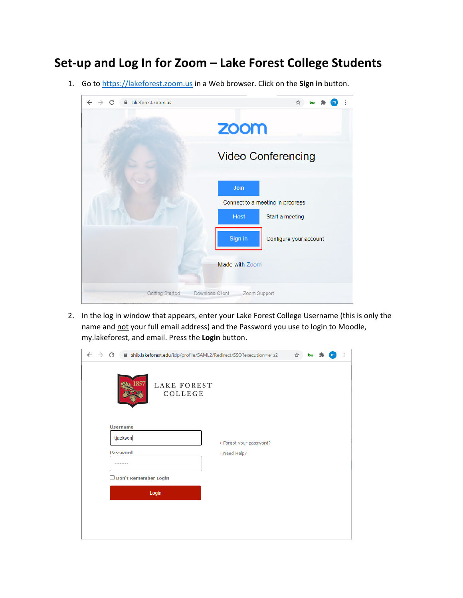## **Set‐up and Log In for Zoom – Lake Forest College Students**

1. Go to [https://lakeforest.zoom.us](https://lakeforest.zoom.us/) in a Web browser. Click on the **Sign in** button.



2. In the log in window that appears, enter your Lake Forest College Username (this is only the name and not your full email address) and the Password you use to login to Moodle, my.lakeforest, and email. Press the **Login** button.

| ← | C                           |                        | A shib.lakeforest.edu/idp/profile/SAML2/Redirect/SSO?execution=e1s2 | ☆<br>bш |  | ÷ |
|---|-----------------------------|------------------------|---------------------------------------------------------------------|---------|--|---|
|   | 1857                        | LAKE FOREST<br>COLLEGE |                                                                     |         |  |   |
|   | <b>Username</b><br>tjackson |                        | > Forgot your password?                                             |         |  |   |
|   | <b>Password</b><br>******** |                        | > Need Help?                                                        |         |  |   |
|   | Don't Remember Login        |                        |                                                                     |         |  |   |
|   |                             | Login                  |                                                                     |         |  |   |
|   |                             |                        |                                                                     |         |  |   |
|   |                             |                        |                                                                     |         |  |   |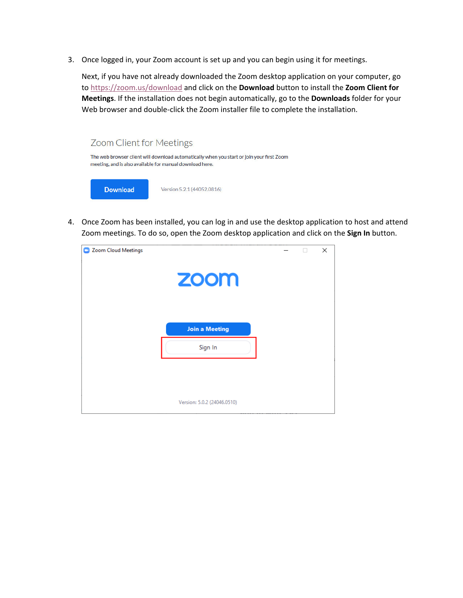3. Once logged in, your Zoom account is set up and you can begin using it for meetings.

Next, if you have not already downloaded the Zoom desktop application on your computer, go to <https://zoom.us/download> and click on the **Download** button to install the **Zoom Client for Meetings**. If the installation does not begin automatically, go to the **Downloads** folder for your Web browser and double-click the Zoom installer file to complete the installation.



4. Once Zoom has been installed, you can log in and use the desktop application to host and attend Zoom meetings. To do so, open the Zoom desktop application and click on the **Sign In** button.

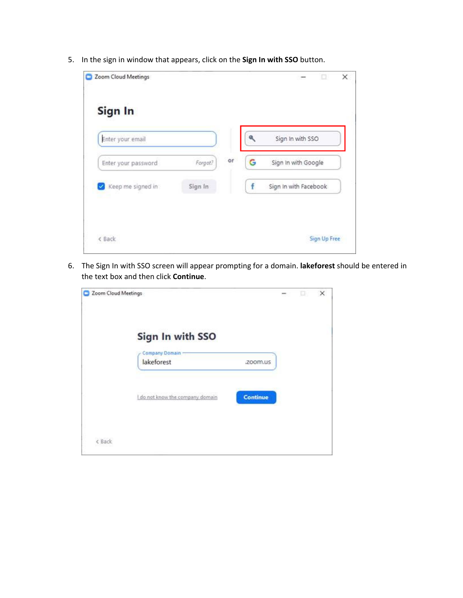5. In the sign in window that appears, click on the **Sign In with SSO** button.

| Sign In             |         |    |   |                       |
|---------------------|---------|----|---|-----------------------|
| Enter your email    |         |    | ۹ | Sign In with SSO      |
| Enter your password | Forgot? | or | G | Sign In with Google   |
| Keep me signed in   | Sign In |    | f | Sign In with Facebook |

6. The Sign In with SSO screen will appear prompting for a domain. **lakeforest** should be entered in the text box and then click **Continue**.

| Zoom Cloud Meetings |                                  |                 | $\sim$ | o | $\times$ |
|---------------------|----------------------------------|-----------------|--------|---|----------|
|                     | Sign In with SSO                 |                 |        |   |          |
|                     | Company Domain<br>lakeforest     | .zoom.us        |        |   |          |
|                     | I do not know the company domain | <b>Continue</b> |        |   |          |
| < Back              |                                  |                 |        |   |          |